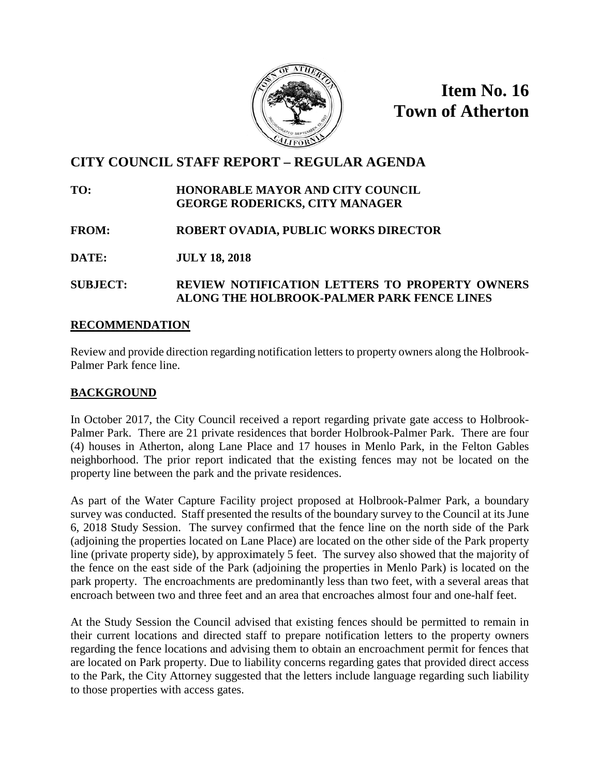

**Item No. 16 Town of Atherton**

# **CITY COUNCIL STAFF REPORT – REGULAR AGENDA**

#### **TO: HONORABLE MAYOR AND CITY COUNCIL GEORGE RODERICKS, CITY MANAGER**

# **FROM: ROBERT OVADIA, PUBLIC WORKS DIRECTOR**

**DATE: JULY 18, 2018**

# **SUBJECT: REVIEW NOTIFICATION LETTERS TO PROPERTY OWNERS ALONG THE HOLBROOK-PALMER PARK FENCE LINES**

## **RECOMMENDATION**

Review and provide direction regarding notification letters to property owners along the Holbrook-Palmer Park fence line.

# **BACKGROUND**

In October 2017, the City Council received a report regarding private gate access to Holbrook-Palmer Park. There are 21 private residences that border Holbrook-Palmer Park. There are four (4) houses in Atherton, along Lane Place and 17 houses in Menlo Park, in the Felton Gables neighborhood. The prior report indicated that the existing fences may not be located on the property line between the park and the private residences.

As part of the Water Capture Facility project proposed at Holbrook-Palmer Park, a boundary survey was conducted. Staff presented the results of the boundary survey to the Council at its June 6, 2018 Study Session. The survey confirmed that the fence line on the north side of the Park (adjoining the properties located on Lane Place) are located on the other side of the Park property line (private property side), by approximately 5 feet. The survey also showed that the majority of the fence on the east side of the Park (adjoining the properties in Menlo Park) is located on the park property. The encroachments are predominantly less than two feet, with a several areas that encroach between two and three feet and an area that encroaches almost four and one-half feet.

At the Study Session the Council advised that existing fences should be permitted to remain in their current locations and directed staff to prepare notification letters to the property owners regarding the fence locations and advising them to obtain an encroachment permit for fences that are located on Park property. Due to liability concerns regarding gates that provided direct access to the Park, the City Attorney suggested that the letters include language regarding such liability to those properties with access gates.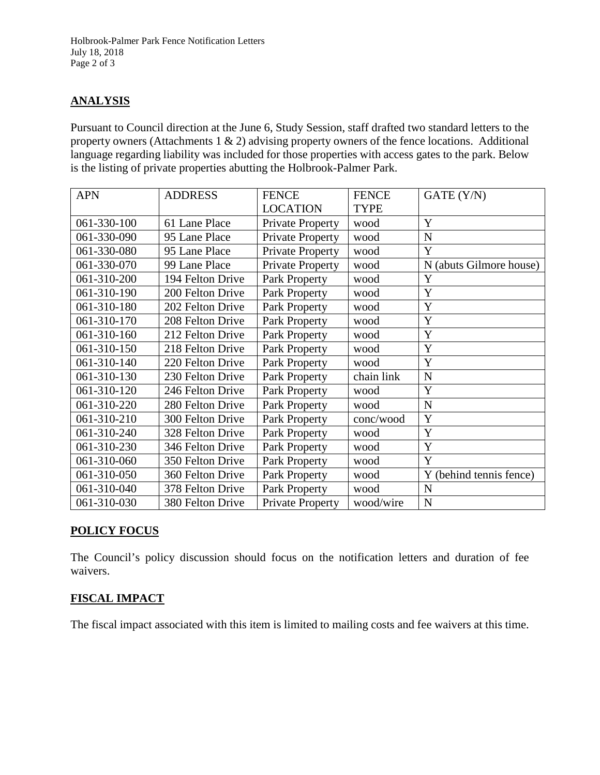## **ANALYSIS**

Pursuant to Council direction at the June 6, Study Session, staff drafted two standard letters to the property owners (Attachments 1 & 2) advising property owners of the fence locations. Additional language regarding liability was included for those properties with access gates to the park. Below is the listing of private properties abutting the Holbrook-Palmer Park.

| <b>APN</b>  | <b>ADDRESS</b>   | <b>FENCE</b>            | <b>FENCE</b> | GATE (Y/N)              |
|-------------|------------------|-------------------------|--------------|-------------------------|
|             |                  | <b>LOCATION</b>         | <b>TYPE</b>  |                         |
| 061-330-100 | 61 Lane Place    | <b>Private Property</b> | wood         | Y                       |
| 061-330-090 | 95 Lane Place    | Private Property        | wood         | N                       |
| 061-330-080 | 95 Lane Place    | <b>Private Property</b> | wood         | Y                       |
| 061-330-070 | 99 Lane Place    | <b>Private Property</b> | wood         | N (abuts Gilmore house) |
| 061-310-200 | 194 Felton Drive | <b>Park Property</b>    | wood         | Y                       |
| 061-310-190 | 200 Felton Drive | Park Property           | wood         | Y                       |
| 061-310-180 | 202 Felton Drive | Park Property           | wood         | Y                       |
| 061-310-170 | 208 Felton Drive | Park Property           | wood         | Y                       |
| 061-310-160 | 212 Felton Drive | Park Property           | wood         | Y                       |
| 061-310-150 | 218 Felton Drive | Park Property           | wood         | Y                       |
| 061-310-140 | 220 Felton Drive | Park Property           | wood         | Y                       |
| 061-310-130 | 230 Felton Drive | Park Property           | chain link   | N                       |
| 061-310-120 | 246 Felton Drive | Park Property           | wood         | Y                       |
| 061-310-220 | 280 Felton Drive | Park Property           | wood         | N                       |
| 061-310-210 | 300 Felton Drive | Park Property           | conc/wood    | Y                       |
| 061-310-240 | 328 Felton Drive | Park Property           | wood         | Y                       |
| 061-310-230 | 346 Felton Drive | Park Property           | wood         | Y                       |
| 061-310-060 | 350 Felton Drive | Park Property           | wood         | Y                       |
| 061-310-050 | 360 Felton Drive | Park Property           | wood         | Y (behind tennis fence) |
| 061-310-040 | 378 Felton Drive | Park Property           | wood         | N                       |
| 061-310-030 | 380 Felton Drive | <b>Private Property</b> | wood/wire    | N                       |

# **POLICY FOCUS**

The Council's policy discussion should focus on the notification letters and duration of fee waivers.

## **FISCAL IMPACT**

The fiscal impact associated with this item is limited to mailing costs and fee waivers at this time.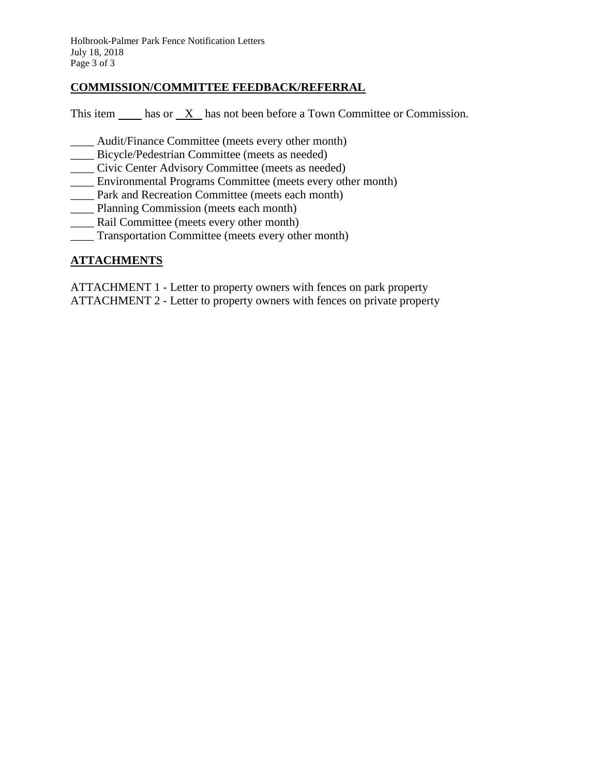Holbrook-Palmer Park Fence Notification Letters July 18, 2018 Page 3 of 3

#### **COMMISSION/COMMITTEE FEEDBACK/REFERRAL**

This item  $\frac{\mathbf{X}}{\mathbf{X}}$  has not been before a Town Committee or Commission.

- Audit/Finance Committee (meets every other month)
- \_\_\_\_ Bicycle/Pedestrian Committee (meets as needed)
- \_\_\_\_ Civic Center Advisory Committee (meets as needed)
- \_\_\_\_ Environmental Programs Committee (meets every other month)
- \_\_\_\_ Park and Recreation Committee (meets each month)
- \_\_\_\_ Planning Commission (meets each month)
- \_\_\_\_ Rail Committee (meets every other month)
- \_\_\_\_ Transportation Committee (meets every other month)

#### **ATTACHMENTS**

ATTACHMENT 1 - Letter to property owners with fences on park property ATTACHMENT 2 - Letter to property owners with fences on private property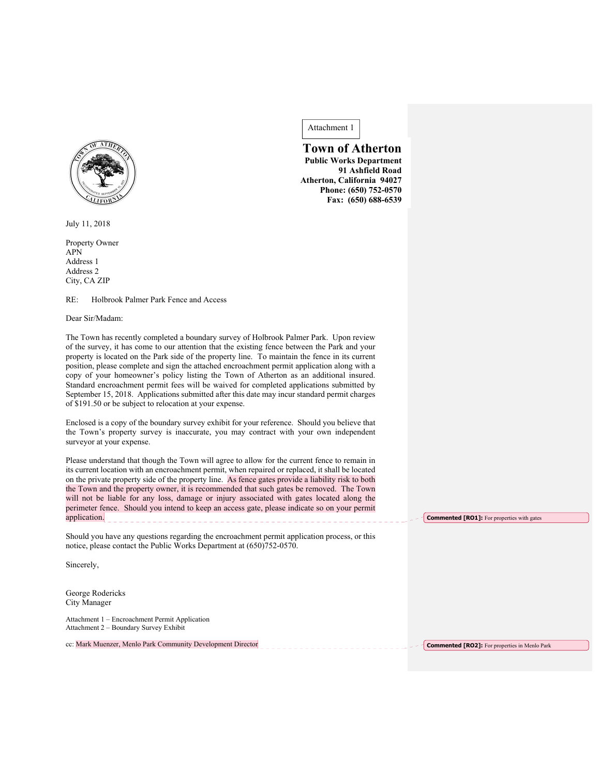

July 11, 2018

Property Owner APN Address 1 Address 2 City, CA ZIP

RE: Holbrook Palmer Park Fence and Access

Dear Sir/Madam:

The Town has recently completed a boundary survey of Holbrook Palmer Park. Upon review of the survey, it has come to our attention that the existing fence between the Park and your property is located on the Park side of the property line. To maintain the fence in its current position, please complete and sign the attached encroachment permit application along with a copy of your homeowner's policy listing the Town of Atherton as an additional insured. Standard encroachment permit fees will be waived for completed applications submitted by September 15, 2018. Applications submitted after this date may incur standard permit charges of \$191.50 or be subject to relocation at your expense.

Enclosed is a copy of the boundary survey exhibit for your reference. Should you believe that the Town's property survey is inaccurate, you may contract with your own independent surveyor at your expense.

Please understand that though the Town will agree to allow for the current fence to remain in its current location with an encroachment permit, when repaired or replaced, it shall be located on the private property side of the property line. As fence gates provide a liability risk to both the Town and the property owner, it is recommended that such gates be removed. The Town will not be liable for any loss, damage or injury associated with gates located along the perimeter fence. Should you intend to keep an access gate, please indicate so on your permit application.

Should you have any questions regarding the encroachment permit application process, or this notice, please contact the Public Works Department at (650)752-0570.

Sincerely,

George Rodericks City Manager

Attachment 1 – Encroachment Permit Application Attachment 2 – Boundary Survey Exhibit

cc: Mark Muenzer, Menlo Park Community Development Director \_\_\_\_\_\_\_\_\_\_\_\_\_\_\_\_\_\_\_\_\_

Attachment 1

 **Town of Atherton Public Works Department 91 Ashfield Road Atherton, California 94027 Phone: (650) 752-0570 Fax: (650) 688-6539**

**Commented [RO1]:** For properties with gates

**Commented [RO2]:** For properties in Menlo Park